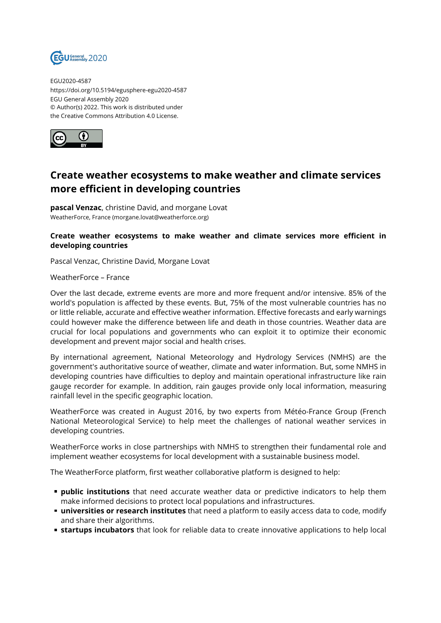

EGU2020-4587 https://doi.org/10.5194/egusphere-egu2020-4587 EGU General Assembly 2020 © Author(s) 2022. This work is distributed under the Creative Commons Attribution 4.0 License.



## **Create weather ecosystems to make weather and climate services more efficient in developing countries**

**pascal Venzac**, christine David, and morgane Lovat WeatherForce, France (morgane.lovat@weatherforce.org)

## **Create weather ecosystems to make weather and climate services more efficient in developing countries**

Pascal Venzac, Christine David, Morgane Lovat

WeatherForce – France

Over the last decade, extreme events are more and more frequent and/or intensive. 85% of the world's population is affected by these events. But, 75% of the most vulnerable countries has no or little reliable, accurate and effective weather information. Effective forecasts and early warnings could however make the difference between life and death in those countries. Weather data are crucial for local populations and governments who can exploit it to optimize their economic development and prevent major social and health crises.

By international agreement, National Meteorology and Hydrology Services (NMHS) are the government's authoritative source of weather, climate and water information. But, some NMHS in developing countries have difficulties to deploy and maintain operational infrastructure like rain gauge recorder for example. In addition, rain gauges provide only local information, measuring rainfall level in the specific geographic location.

WeatherForce was created in August 2016, by two experts from Météo-France Group (French National Meteorological Service) to help meet the challenges of national weather services in developing countries.

WeatherForce works in close partnerships with NMHS to strengthen their fundamental role and implement weather ecosystems for local development with a sustainable business model.

The WeatherForce platform, first weather collaborative platform is designed to help:

- **public institutions** that need accurate weather data or predictive indicators to help them make informed decisions to protect local populations and infrastructures.
- **universities or research institutes** that need a platform to easily access data to code, modify and share their algorithms.
- **startups incubators** that look for reliable data to create innovative applications to help local